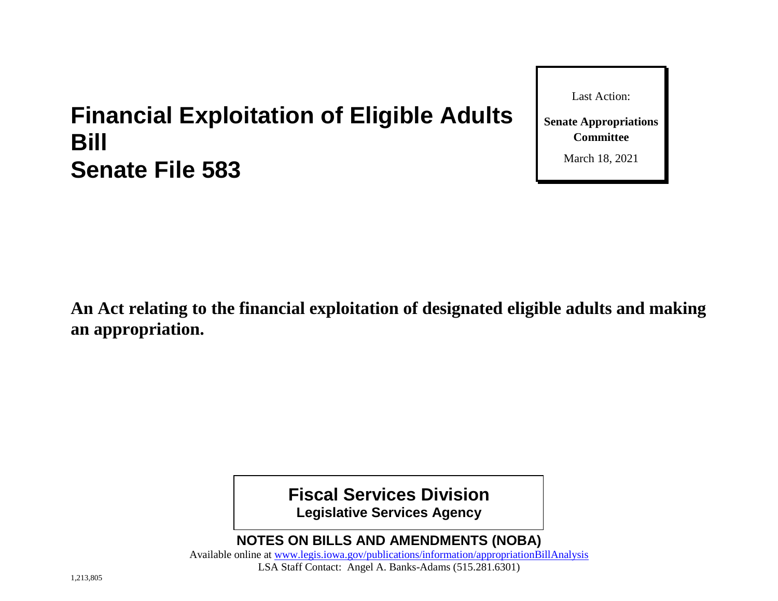# **Financial Exploitation of Eligible Adults Bill Senate File 583**

Last Action:

**Senate Appropriations Committee**

March 18, 2021

**An Act relating to the financial exploitation of designated eligible adults and making an appropriation.**

**Fiscal Services Division**

**Legislative Services Agency**

**NOTES ON BILLS AND AMENDMENTS (NOBA)**

Available online at [www.legis.iowa.gov/publications/information/appropriationBillAnalysis](https://www.legis.iowa.gov/publications/information/appropriationBillAnalysis) LSA Staff Contact: Angel A. Banks-Adams (515.281.6301)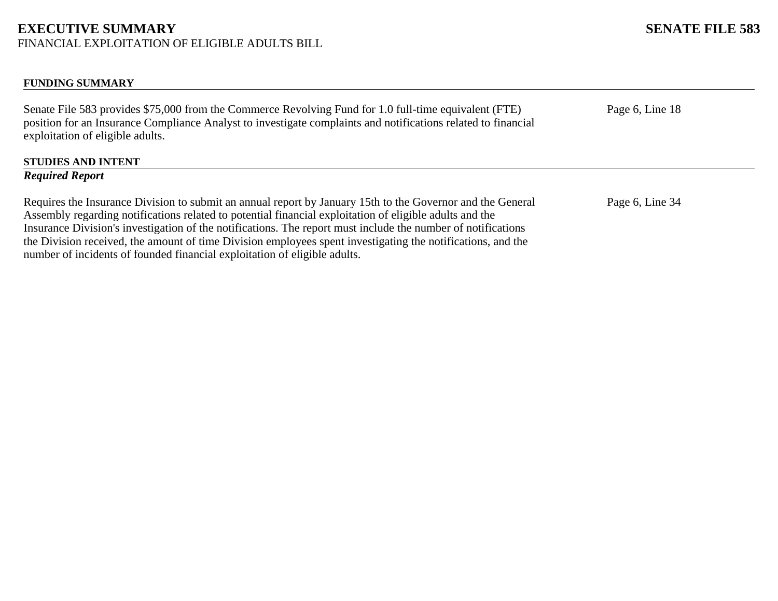## **EXECUTIVE SUMMARY SENATE FILE 583**

FINANCIAL EXPLOITATION OF ELIGIBLE ADULTS BILL

#### **FUNDING SUMMARY**

Senate File 583 provides \$75,000 from the Commerce Revolving Fund for 1.0 full-time equivalent (FTE) position for an Insurance Compliance Analyst to investigate complaints and notifications related to financial exploitation of eligible adults.

# **STUDIES AND INTENT**

#### *Required Report*

Requires the Insurance Division to submit an annual report by January 15th to the Governor and the General Assembly regarding notifications related to potential financial exploitation of eligible adults and the Insurance Division's investigation of the notifications. The report must include the number of notifications the Division received, the amount of time Division employees spent investigating the notifications, and the number of incidents of founded financial exploitation of eligible adults.

Page 6, Line 18

Page 6, Line 34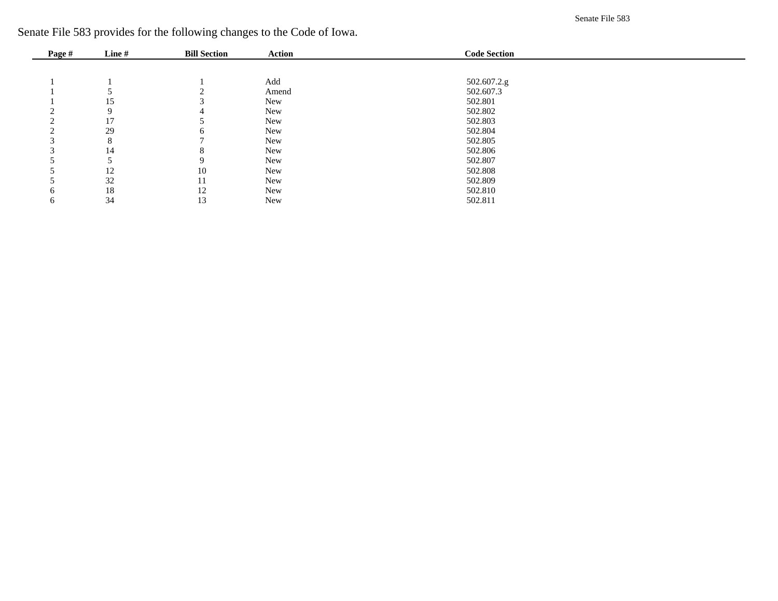Senate File 583

Senate File 583 provides for the following changes to the Code of Iowa.

| Page # | Line# | <b>Bill Section</b> | Action | <b>Code Section</b> |
|--------|-------|---------------------|--------|---------------------|
|        |       |                     |        |                     |
|        |       |                     | Add    | 502.607.2.g         |
|        |       |                     | Amend  | 502.607.3           |
|        | 15    |                     | New    | 502.801             |
|        | Q     |                     | New    | 502.802             |
|        | 17    |                     | New    | 502.803             |
|        | 29    |                     | New    | 502.804             |
|        | 8     |                     | New    | 502.805             |
|        | 14    |                     | New    | 502.806             |
|        |       | Q                   | New    | 502.807             |
|        | 12    | 10                  | New    | 502.808             |
|        | 32    |                     | New    | 502.809             |
| 6      | 18    | 12                  | New    | 502.810             |
| 6      | 34    | 13                  | New    | 502.811             |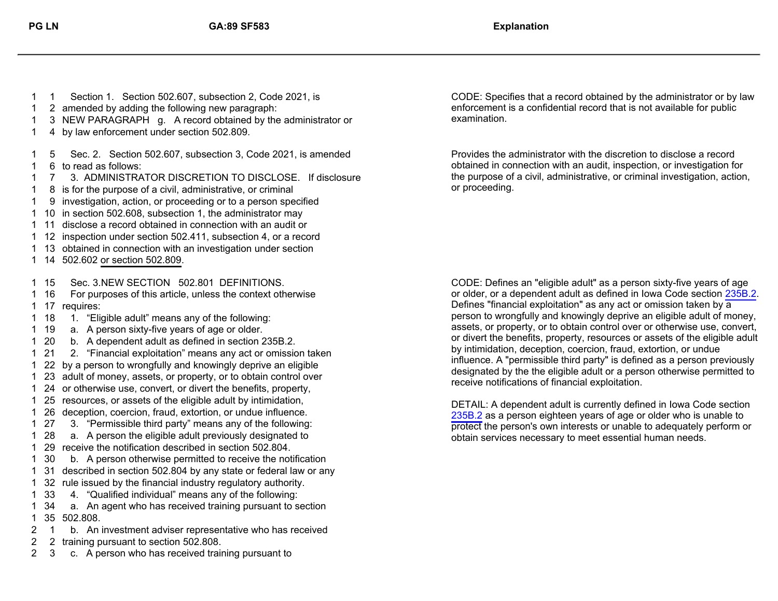- 
- 2 amended by adding the following new paragraph:
- 3 NEW PARAGRAPH g. A record obtained by the administrator or
- 4 by law enforcement under section 502.809.
- 6 to read as follows: 5 Sec. 2. Section 502.607, subsection 3, Code 2021, is amended
- 7 3. ADMINISTRATOR DISCRETION TO DISCLOSE. If disclosure
- 8 is for the purpose of a civil, administrative, or criminal
- 9 investigation, action, or proceeding or to a person specified
- 10 in section 502.608, subsection 1, the administrator may
- 11 disclose a record obtained in connection with an audit or
- 12 inspection under section 502.411, subsection 4, or a record
- 13 obtained in connection with an investigation under section
- 14 502.602 or section 502.809.
- 15 Sec. 3.NEW SECTION 502.801 DEFINITIONS.
- 17 requires: 16 For purposes of this article, unless the context otherwise
- 18 1. "Eligible adult" means any of the following:
- 19 a. A person sixty-five years of age or older.
- 20 b. A dependent adult as defined in section 235B.2.
- 21 2. "Financial exploitation" means any act or omission taken
- 22 by a person to wrongfully and knowingly deprive an eligible
- 23 adult of money, assets, or property, or to obtain control over
- 24 or otherwise use, convert, or divert the benefits, property,
- 25 resources, or assets of the eligible adult by intimidation,
- 26 deception, coercion, fraud, extortion, or undue influence.
- 27 3. "Permissible third party" means any of the following:
- 28 a. A person the eligible adult previously designated to
- 29 receive the notification described in section 502.804.
- 30 b. A person otherwise permitted to receive the notification
- 31 described in section 502.804 by any state or federal law or any
- 32 rule issued by the financial industry regulatory authority.
- 33 4. "Qualified individual" means any of the following:

 35 502.808. 34 a. An agent who has received training pursuant to section

- 1 b. An investment adviser representative who has received
- 2 training pursuant to section 502.808.
- 3 c. A person who has received training pursuant to

 1 Section 1. Section 502.607, subsection 2, Code 2021, is CODE: Specifies that a record obtained by the administrator or by law enforcement is a confidential record that is not available for public examination.

> Provides the administrator with the discretion to disclose a record obtained in connection with an audit, inspection, or investigation for the purpose of a civil, administrative, or criminal investigation, action, or proceeding.

CODE: Defines an "eligible adult" as a person sixty-five years of age or older, or a dependent adult as defined in Iowa Code section [235B.2](https://www.legis.iowa.gov/docs/code/235B.2.pdf). Defines "financial exploitation" as any act or omission taken by a person to wrongfully and knowingly deprive an eligible adult of money, assets, or property, or to obtain control over or otherwise use, convert, or divert the benefits, property, resources or assets of the eligible adult by intimidation, deception, coercion, fraud, extortion, or undue influence. A "permissible third party" is defined as a person previously designated by the the eligible adult or a person otherwise permitted to receive notifications of financial exploitation.

DETAIL: A dependent adult is currently defined in Iowa Code section [235B.2](https://www.legis.iowa.gov/docs/code/235b.2.pdf) as a person eighteen years of age or older who is unable to protect the person's own interests or unable to adequately perform or obtain services necessary to meet essential human needs.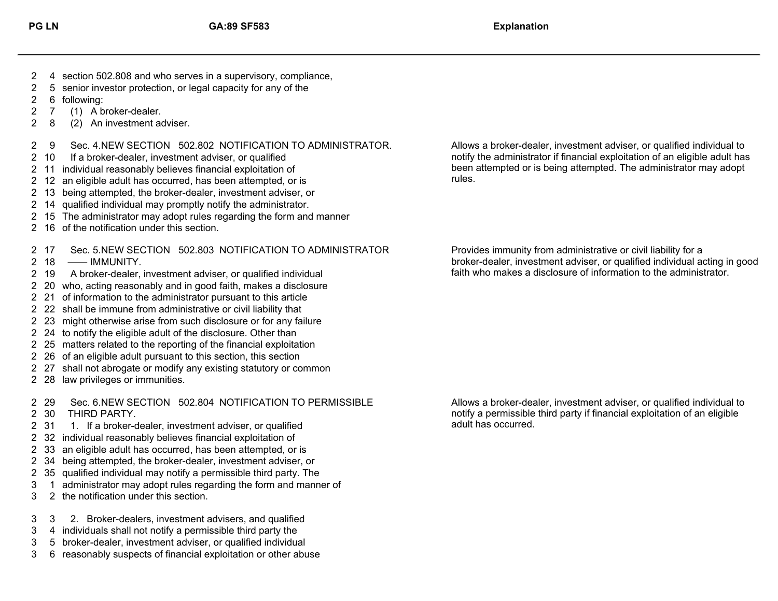- 4 section 502.808 and who serves in a supervisory, compliance,
- 5 senior investor protection, or legal capacity for any of the
- 6 following:
- 7 (1) A broker-dealer.
- 8 (2) An investment adviser.
- 9 Sec. 4.NEW SECTION 502.802 NOTIFICATION TO ADMINISTRATOR.
- 2 10 If a broker-dealer, investment adviser, or qualified
- 11 individual reasonably believes financial exploitation of
- 12 an eligible adult has occurred, has been attempted, or is
- 13 being attempted, the broker-dealer, investment adviser, or
- 14 qualified individual may promptly notify the administrator.
- 15 The administrator may adopt rules regarding the form and manner
- 16 of the notification under this section.
- 17 Sec. 5.NEW SECTION 502.803 NOTIFICATION TO ADMINISTRATOR
- 18 —— IMMUNITY.
- 19 A broker-dealer, investment adviser, or qualified individual
- 20 who, acting reasonably and in good faith, makes a disclosure
- 21 of information to the administrator pursuant to this article
- 22 shall be immune from administrative or civil liability that
- 23 might otherwise arise from such disclosure or for any failure
- 24 to notify the eligible adult of the disclosure. Other than
- 25 matters related to the reporting of the financial exploitation
- 26 of an eligible adult pursuant to this section, this section
- 27 shall not abrogate or modify any existing statutory or common
- 28 law privileges or immunities.

29 Sec. 6.NEW SECTION 502.804 NOTIFICATION TO PERMISSIBLE

- 30 THIRD PARTY.
- 2 31 1. If a broker-dealer, investment adviser, or qualified
- 32 individual reasonably believes financial exploitation of
- 33 an eligible adult has occurred, has been attempted, or is
- 34 being attempted, the broker-dealer, investment adviser, or
- 35 qualified individual may notify a permissible third party. The
- 1 administrator may adopt rules regarding the form and manner of
- 2 the notification under this section.

3 2. Broker-dealers, investment advisers, and qualified

- 4 individuals shall not notify a permissible third party the
- 5 broker-dealer, investment adviser, or qualified individual
- 6 reasonably suspects of financial exploitation or other abuse

Allows a broker-dealer, investment adviser, or qualified individual to notify the administrator if financial exploitation of an eligible adult has been attempted or is being attempted. The administrator may adopt rules.

Provides immunity from administrative or civil liability for a broker-dealer, investment adviser, or qualified individual acting in good faith who makes a disclosure of information to the administrator.

Allows a broker-dealer, investment adviser, or qualified individual to notify a permissible third party if financial exploitation of an eligible adult has occurred.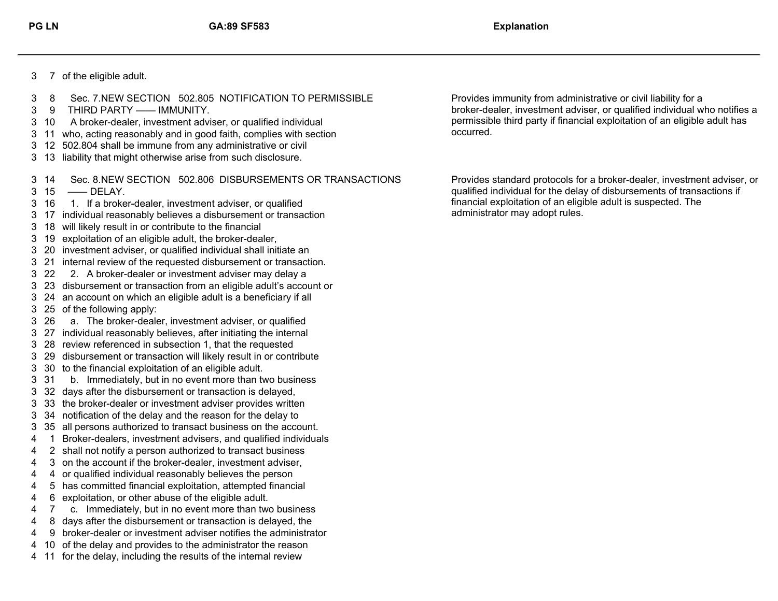- 7 of the eligible adult.
- 8 Sec. 7.NEW SECTION 502.805 NOTIFICATION TO PERMISSIBLE
- 9 THIRD PARTY —— IMMUNITY.
- 10 A broker-dealer, investment adviser, or qualified individual
- 11 who, acting reasonably and in good faith, complies with section
- 12 502.804 shall be immune from any administrative or civil
- 13 liability that might otherwise arise from such disclosure.
- 14 Sec. 8.NEW SECTION 502.806 DISBURSEMENTS OR TRANSACTIONS
- 15 —— DELAY.
- 16 1. If a broker-dealer, investment adviser, or qualified
- 17 individual reasonably believes a disbursement or transaction
- 18 will likely result in or contribute to the financial
- 19 exploitation of an eligible adult, the broker-dealer,
- 20 investment adviser, or qualified individual shall initiate an
- 21 internal review of the requested disbursement or transaction.
- 22 2. A broker-dealer or investment adviser may delay a
- 23 disbursement or transaction from an eligible adult's account or
- 24 an account on which an eligible adult is a beneficiary if all
- 25 of the following apply:
- 26 a. The broker-dealer, investment adviser, or qualified
- 27 individual reasonably believes, after initiating the internal
- 28 review referenced in subsection 1, that the requested
- 29 disbursement or transaction will likely result in or contribute
- 30 to the financial exploitation of an eligible adult.
- 31 b. Immediately, but in no event more than two business
- 32 days after the disbursement or transaction is delayed,
- 33 the broker-dealer or investment adviser provides written
- 34 notification of the delay and the reason for the delay to
- 35 all persons authorized to transact business on the account.
- 1 Broker-dealers, investment advisers, and qualified individuals
- 2 shall not notify a person authorized to transact business
- 3 on the account if the broker-dealer, investment adviser,
- 4 or qualified individual reasonably believes the person
- 5 has committed financial exploitation, attempted financial
- 6 exploitation, or other abuse of the eligible adult.
- 7 c. Immediately, but in no event more than two business
- 8 days after the disbursement or transaction is delayed, the
- 9 broker-dealer or investment adviser notifies the administrator
- 10 of the delay and provides to the administrator the reason
- 11 for the delay, including the results of the internal review

Provides immunity from administrative or civil liability for a broker-dealer, investment adviser, or qualified individual who notifies a permissible third party if financial exploitation of an eligible adult has occurred.

Provides standard protocols for a broker-dealer, investment adviser, or qualified individual for the delay of disbursements of transactions if financial exploitation of an eligible adult is suspected. The administrator may adopt rules.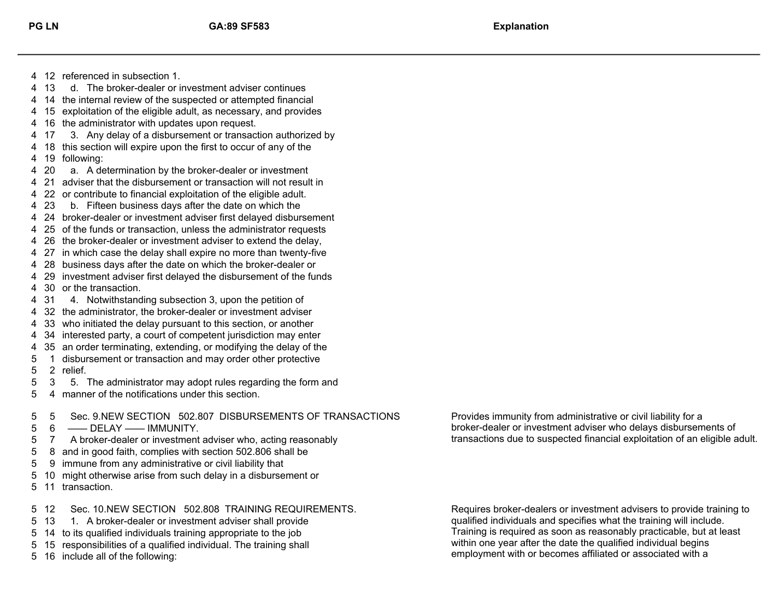12 referenced in subsection 1.

- 13 d. The broker-dealer or investment adviser continues
- 14 the internal review of the suspected or attempted financial
- 15 exploitation of the eligible adult, as necessary, and provides
- 16 the administrator with updates upon request.
- 17 3. Any delay of a disbursement or transaction authorized by
- 18 this section will expire upon the first to occur of any of the
- 19 following:
- 20 a. A determination by the broker-dealer or investment
- 21 adviser that the disbursement or transaction will not result in
- 22 or contribute to financial exploitation of the eligible adult.
- 23 b. Fifteen business days after the date on which the
- 24 broker-dealer or investment adviser first delayed disbursement
- 25 of the funds or transaction, unless the administrator requests
- 26 the broker-dealer or investment adviser to extend the delay,
- 27 in which case the delay shall expire no more than twenty-five
- 28 business days after the date on which the broker-dealer or
- 30 or the transaction. 29 investment adviser first delayed the disbursement of the funds
- 31 4. Notwithstanding subsection 3, upon the petition of
- 32 the administrator, the broker-dealer or investment adviser
- 33 who initiated the delay pursuant to this section, or another
- 34 interested party, a court of competent jurisdiction may enter
- 35 an order terminating, extending, or modifying the delay of the
- 2 relief. 1 disbursement or transaction and may order other protective
- 3 5. The administrator may adopt rules regarding the form and
- 4 manner of the notifications under this section.

5 Sec. 9.NEW SECTION 502.807 DISBURSEMENTS OF TRANSACTIONS

- 6 —— DELAY —— IMMUNITY.
- 7 A broker-dealer or investment adviser who, acting reasonably
- 8 and in good faith, complies with section 502.806 shall be
- 9 immune from any administrative or civil liability that
- 10 might otherwise arise from such delay in a disbursement or
- 11 transaction.

12 Sec. 10.NEW SECTION 502.808 TRAINING REQUIREMENTS.

- 13 1. A broker-dealer or investment adviser shall provide
- 14 to its qualified individuals training appropriate to the job
- 15 responsibilities of a qualified individual. The training shall
- 16 include all of the following:

Provides immunity from administrative or civil liability for a broker-dealer or investment adviser who delays disbursements of transactions due to suspected financial exploitation of an eligible adult.

Requires broker-dealers or investment advisers to provide training to qualified individuals and specifies what the training will include. Training is required as soon as reasonably practicable, but at least within one year after the date the qualified individual begins employment with or becomes affiliated or associated with a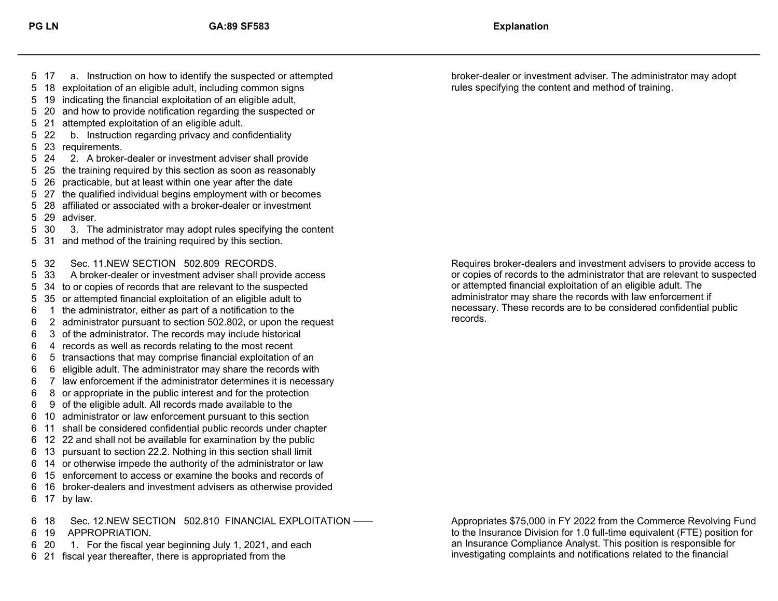records.

 18 Sec. 12.NEW SECTION 502.810 FINANCIAL EXPLOITATION —— 17 by law. 16 broker-dealers and investment advisers as otherwise provided 15 enforcement to access or examine the books and records of 14 or otherwise impede the authority of the administrator or law 13 pursuant to section 22.2. Nothing in this section shall limit 12 22 and shall not be available for examination by the public 11 shall be considered confidential public records under chapter 10 administrator or law enforcement pursuant to this section 9 of the eligible adult. All records made available to the 8 or appropriate in the public interest and for the protection 7 law enforcement if the administrator determines it is necessary 6 eligible adult. The administrator may share the records with 5 transactions that may comprise financial exploitation of an 4 records as well as records relating to the most recent 3 of the administrator. The records may include historical 2 administrator pursuant to section 502.802, or upon the request 1 the administrator, either as part of a notification to the 35 or attempted financial exploitation of an eligible adult to 34 to or copies of records that are relevant to the suspected 33 A broker-dealer or investment adviser shall provide access 32 Sec. 11.NEW SECTION 502.809 RECORDS. 31 and method of the training required by this section. 30 3. The administrator may adopt rules specifying the content 29 adviser. 28 affiliated or associated with a broker-dealer or investment 27 the qualified individual begins employment with or becomes 26 practicable, but at least within one year after the date 25 the training required by this section as soon as reasonably 24 2. A broker-dealer or investment adviser shall provide 23 requirements. 22 b. Instruction regarding privacy and confidentiality 21 attempted exploitation of an eligible adult. 20 and how to provide notification regarding the suspected or 19 indicating the financial exploitation of an eligible adult, 18 exploitation of an eligible adult, including common signs 17 a. Instruction on how to identify the suspected or attempted broker-dealer or investment adviser. The administrator may adopt

- 19 APPROPRIATION.
- 20 1. For the fiscal year beginning July 1, 2021, and each
- 21 fiscal year thereafter, there is appropriated from the

Requires broker-dealers and investment advisers to provide access to or copies of records to the administrator that are relevant to suspected or attempted financial exploitation of an eligible adult. The administrator may share the records with law enforcement if necessary. These records are to be considered confidential public

rules specifying the content and method of training.

Appropriates \$75,000 in FY 2022 from the Commerce Revolving Fund to the Insurance Division for 1.0 full-time equivalent (FTE) position for an Insurance Compliance Analyst. This position is responsible for investigating complaints and notifications related to the financial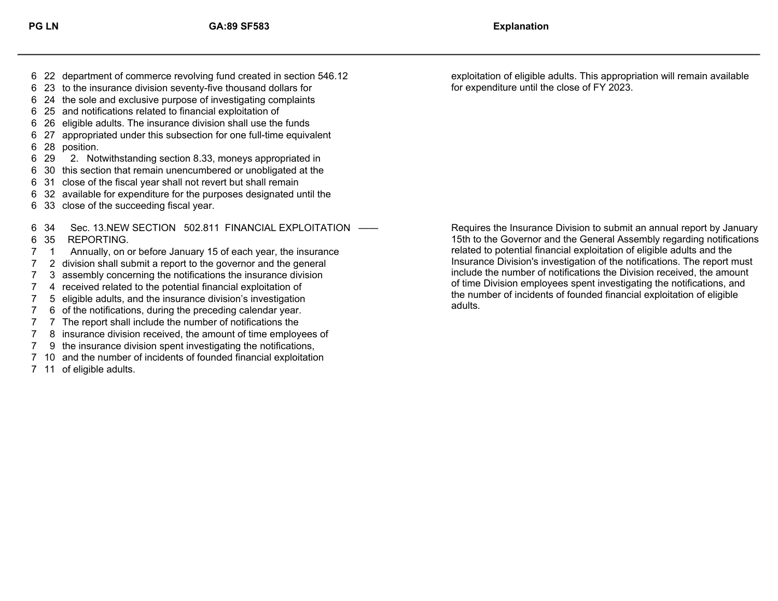- 
- 23 to the insurance division seventy-five thousand dollars for
- 24 the sole and exclusive purpose of investigating complaints
- 25 and notifications related to financial exploitation of
- 26 eligible adults. The insurance division shall use the funds
- 28 position. 27 appropriated under this subsection for one full-time equivalent
- 29 2. Notwithstanding section 8.33, moneys appropriated in
- 30 this section that remain unencumbered or unobligated at the
- 31 close of the fiscal year shall not revert but shall remain
- 32 available for expenditure for the purposes designated until the
- 33 close of the succeeding fiscal year.

 35 REPORTING. 34 Sec. 13.NEW SECTION 502.811 FINANCIAL EXPLOITATION ——

- 1 Annually, on or before January 15 of each year, the insurance
- 2 division shall submit a report to the governor and the general
- 3 assembly concerning the notifications the insurance division
- 4 received related to the potential financial exploitation of
- 5 eligible adults, and the insurance division's investigation
- 6 of the notifications, during the preceding calendar year.
- 7 The report shall include the number of notifications the
- 8 insurance division received, the amount of time employees of
- 9 the insurance division spent investigating the notifications,
- 10 and the number of incidents of founded financial exploitation
- 11 of eligible adults.

 22 department of commerce revolving fund created in section 546.12 exploitation of eligible adults. This appropriation will remain available for expenditure until the close of FY 2023.

> Requires the Insurance Division to submit an annual report by January 15th to the Governor and the General Assembly regarding notifications related to potential financial exploitation of eligible adults and the Insurance Division's investigation of the notifications. The report must include the number of notifications the Division received, the amount of time Division employees spent investigating the notifications, and the number of incidents of founded financial exploitation of eligible adults.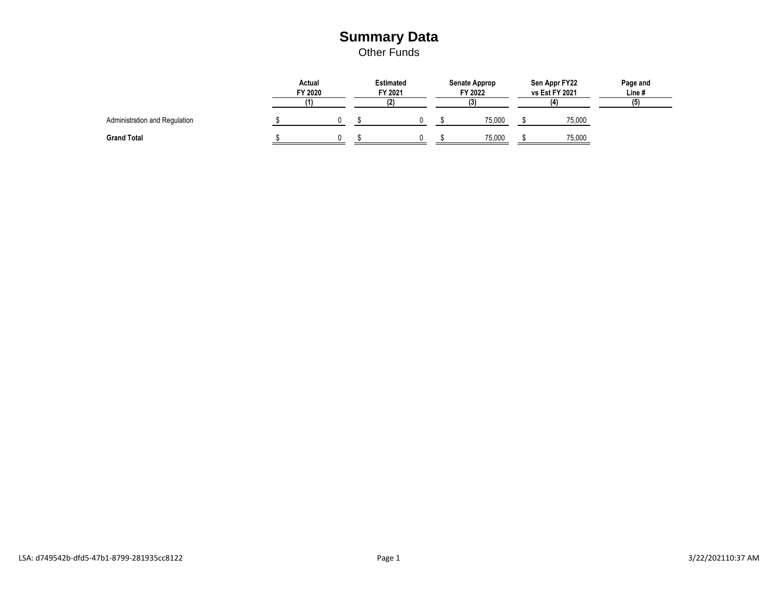### **Summary Data**

Other Funds

|                               | Actual<br>FY 2020 |  | <b>Estimated</b><br>FY 2021 |     |  | <b>Senate Approp</b><br>FY 2022 |        | Sen Appr FY22<br>vs Est FY 2021 |        | Page and<br>Line # |
|-------------------------------|-------------------|--|-----------------------------|-----|--|---------------------------------|--------|---------------------------------|--------|--------------------|
|                               |                   |  |                             | (2) |  | (3)                             |        | (4)                             |        | (5)                |
| Administration and Regulation |                   |  |                             |     |  |                                 | 75,000 |                                 | 75,000 |                    |
| <b>Grand Total</b>            |                   |  |                             |     |  |                                 | 75,000 |                                 | 75,000 |                    |